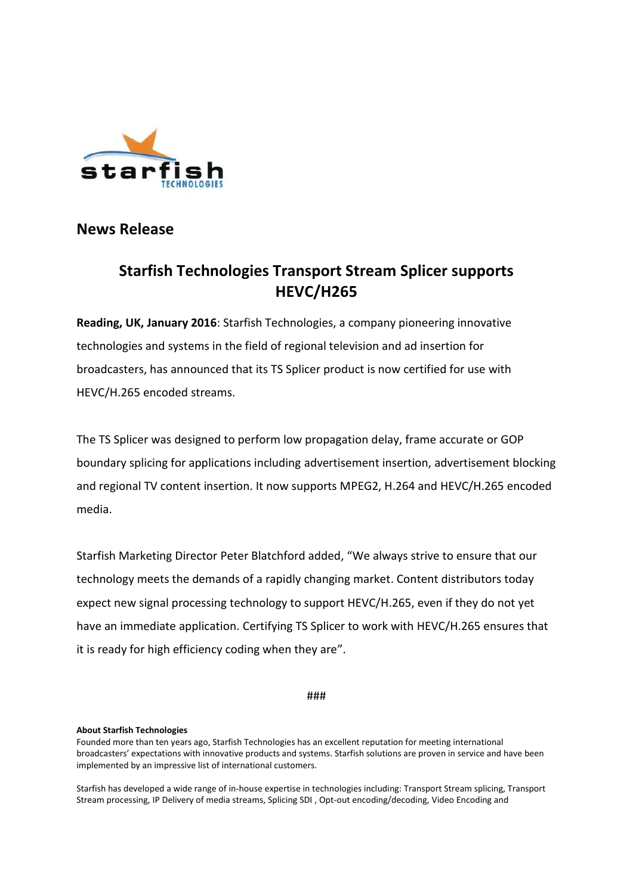

**News Release** 

## **Starfish Technologies Transport Stream Splicer supports HEVC/H265**

**Reading, UK, January 2016**: Starfish Technologies, a company pioneering innovative technologies and systems in the field of regional television and ad insertion for broadcasters, has announced that its TS Splicer product is now certified for use with HEVC/H.265 encoded streams.

The TS Splicer was designed to perform low propagation delay, frame accurate or GOP boundary splicing for applications including advertisement insertion, advertisement blocking and regional TV content insertion. It now supports MPEG2, H.264 and HEVC/H.265 encoded media.

Starfish Marketing Director Peter Blatchford added, "We always strive to ensure that our technology meets the demands of a rapidly changing market. Content distributors today expect new signal processing technology to support HEVC/H.265, even if they do not yet have an immediate application. Certifying TS Splicer to work with HEVC/H.265 ensures that it is ready for high efficiency coding when they are".

###

## **About Starfish Technologies**

Founded more than ten years ago, Starfish Technologies has an excellent reputation for meeting international broadcasters' expectations with innovative products and systems. Starfish solutions are proven in service and have been implemented by an impressive list of international customers.

Starfish has developed a wide range of in-house expertise in technologies including: Transport Stream splicing, Transport Stream processing, IP Delivery of media streams, Splicing SDI , Opt-out encoding/decoding, Video Encoding and